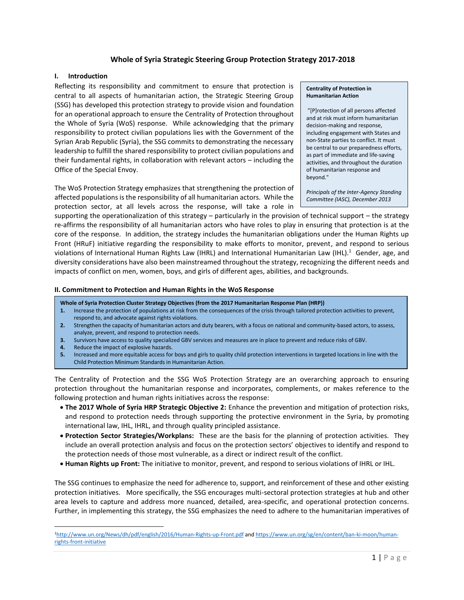# **Whole of Syria Strategic Steering Group Protection Strategy 2017-2018**

#### **I. Introduction**

Reflecting its responsibility and commitment to ensure that protection is central to all aspects of humanitarian action, the Strategic Steering Group (SSG) has developed this protection strategy to provide vision and foundation for an operational approach to ensure the Centrality of Protection throughout the Whole of Syria (WoS) response. While acknowledging that the primary responsibility to protect civilian populations lies with the Government of the Syrian Arab Republic (Syria), the SSG commits to demonstrating the necessary leadership to fulfill the shared responsibility to protect civilian populations and their fundamental rights, in collaboration with relevant actors – including the Office of the Special Envoy.

The WoS Protection Strategy emphasizes that strengthening the protection of affected populations is the responsibility of all humanitarian actors. While the protection sector, at all levels across the response, will take a role in

#### **Centrality of Protection in Humanitarian Action**

"[P]rotection of all persons affected and at risk must inform humanitarian decision-making and response, including engagement with States and non-State parties to conflict. It must be central to our preparedness efforts, as part of immediate and life-saving activities, and throughout the duration of humanitarian response and beyond."

*Principals of the Inter-Agency Standing Committee (IASC), December 2013*

supporting the operationalization of this strategy – particularly in the provision of technical support – the strategy re-affirms the responsibility of all humanitarian actors who have roles to play in ensuring that protection is at the core of the response. In addition, the strategy includes the humanitarian obligations under the Human Rights up Front (HRuF) initiative regarding the responsibility to make efforts to monitor, prevent, and respond to serious violations of International Human Rights Law (IHRL) and International Humanitarian Law (IHL).<sup>1</sup> Gender, age, and diversity considerations have also been mainstreamed throughout the strategy, recognizing the different needs and impacts of conflict on men, women, boys, and girls of different ages, abilities, and backgrounds.

#### **II. Commitment to Protection and Human Rights in the WoS Response**

**Whole of Syria Protection Cluster Strategy Objectives (from the 2017 Humanitarian Response Plan (HRP))**

- **1.** Increase the protection of populations at risk from the consequences of the crisis through tailored protection activities to prevent, respond to, and advocate against rights violations.
- **2.** Strengthen the capacity of humanitarian actors and duty bearers, with a focus on national and community-based actors, to assess, analyze, prevent, and respond to protection needs.
- **3.** Survivors have access to quality specialized GBV services and measures are in place to prevent and reduce risks of GBV.
- **4.** Reduce the impact of explosive hazards.

 $\overline{a}$ 

**5.** Increased and more equitable access for boys and girls to quality child protection interventions in targeted locations in line with the Child Protection Minimum Standards in Humanitarian Action.

The Centrality of Protection and the SSG WoS Protection Strategy are an overarching approach to ensuring protection throughout the humanitarian response and incorporates, complements, or makes reference to the following protection and human rights initiatives across the response:

- **The 2017 Whole of Syria HRP Strategic Objective 2:** Enhance the prevention and mitigation of protection risks, and respond to protection needs through supporting the protective environment in the Syria, by promoting international law, IHL, IHRL, and through quality principled assistance.
- **Protection Sector Strategies/Workplans:** These are the basis for the planning of protection activities. They include an overall protection analysis and focus on the protection sectors' objectives to identify and respond to the protection needs of those most vulnerable, as a direct or indirect result of the conflict.
- **Human Rights up Front:** The initiative to monitor, prevent, and respond to serious violations of IHRL or IHL.

The SSG continues to emphasize the need for adherence to, support, and reinforcement of these and other existing protection initiatives. More specifically, the SSG encourages multi-sectoral protection strategies at hub and other area levels to capture and address more nuanced, detailed, area-specific, and operational protection concerns. Further, in implementing this strategy, the SSG emphasizes the need to adhere to the humanitarian imperatives of

<sup>1</sup><http://www.un.org/News/dh/pdf/english/2016/Human-Rights-up-Front.pdf> an[d https://www.un.org/sg/en/content/ban-ki-moon/human](https://www.un.org/sg/en/content/ban-ki-moon/human-rights-front-initiative)[rights-front-initiative](https://www.un.org/sg/en/content/ban-ki-moon/human-rights-front-initiative)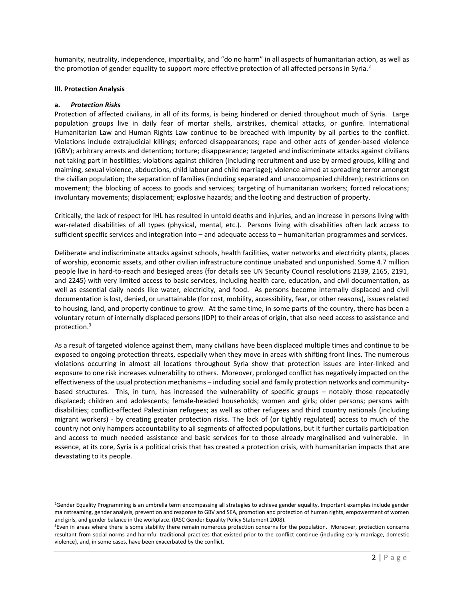humanity, neutrality, independence, impartiality, and "do no harm" in all aspects of humanitarian action, as well as the promotion of gender equality to support more effective protection of all affected persons in Syria.<sup>2</sup>

#### **III. Protection Analysis**

#### **a.** *Protection Risks*

 $\overline{a}$ 

Protection of affected civilians, in all of its forms, is being hindered or denied throughout much of Syria. Large population groups live in daily fear of mortar shells, airstrikes, chemical attacks, or gunfire. International Humanitarian Law and Human Rights Law continue to be breached with impunity by all parties to the conflict. Violations include extrajudicial killings; enforced disappearances; rape and other acts of gender-based violence (GBV); arbitrary arrests and detention; torture; disappearance; targeted and indiscriminate attacks against civilians not taking part in hostilities; violations against children (including recruitment and use by armed groups, killing and maiming, sexual violence, abductions, child labour and child marriage); violence aimed at spreading terror amongst the civilian population; the separation of families (including separated and unaccompanied children); restrictions on movement; the blocking of access to goods and services; targeting of humanitarian workers; forced relocations; involuntary movements; displacement; explosive hazards; and the looting and destruction of property.

Critically, the lack of respect for IHL has resulted in untold deaths and injuries, and an increase in persons living with war-related disabilities of all types (physical, mental, etc.). Persons living with disabilities often lack access to sufficient specific services and integration into – and adequate access to – humanitarian programmes and services.

Deliberate and indiscriminate attacks against schools, health facilities, water networks and electricity plants, places of worship, economic assets, and other civilian infrastructure continue unabated and unpunished. Some 4.7 million people live in hard-to-reach and besieged areas (for details see UN Security Council resolutions 2139, 2165, 2191, and 2245) with very limited access to basic services, including health care, education, and civil documentation, as well as essential daily needs like water, electricity, and food. As persons become internally displaced and civil documentation is lost, denied, or unattainable (for cost, mobility, accessibility, fear, or other reasons), issues related to housing, land, and property continue to grow. At the same time, in some parts of the country, there has been a voluntary return of internally displaced persons (IDP) to their areas of origin, that also need access to assistance and protection. 3

As a result of targeted violence against them, many civilians have been displaced multiple times and continue to be exposed to ongoing protection threats, especially when they move in areas with shifting front lines. The numerous violations occurring in almost all locations throughout Syria show that protection issues are inter-linked and exposure to one risk increases vulnerability to others. Moreover, prolonged conflict has negatively impacted on the effectiveness of the usual protection mechanisms – including social and family protection networks and communitybased structures. This, in turn, has increased the vulnerability of specific groups – notably those repeatedly displaced; children and adolescents; female-headed households; women and girls; older persons; persons with disabilities; conflict-affected Palestinian refugees; as well as other refugees and third country nationals (including migrant workers) - by creating greater protection risks. The lack of (or tightly regulated) access to much of the country not only hampers accountability to all segments of affected populations, but it further curtails participation and access to much needed assistance and basic services for to those already marginalised and vulnerable. In essence, at its core, Syria is a political crisis that has created a protection crisis, with humanitarian impacts that are devastating to its people.

<sup>&</sup>lt;sup>2</sup>Gender Equality Programming is an umbrella term encompassing all strategies to achieve gender equality. Important examples include gender mainstreaming, gender analysis, prevention and response to GBV and SEA, promotion and protection of human rights, empowerment of women and girls, and gender balance in the workplace. (IASC Gender Equality Policy Statement 2008).

<sup>&</sup>lt;sup>3</sup>Even in areas where there is some stability there remain numerous protection concerns for the population. Moreover, protection concerns resultant from social norms and harmful traditional practices that existed prior to the conflict continue (including early marriage, domestic violence), and, in some cases, have been exacerbated by the conflict.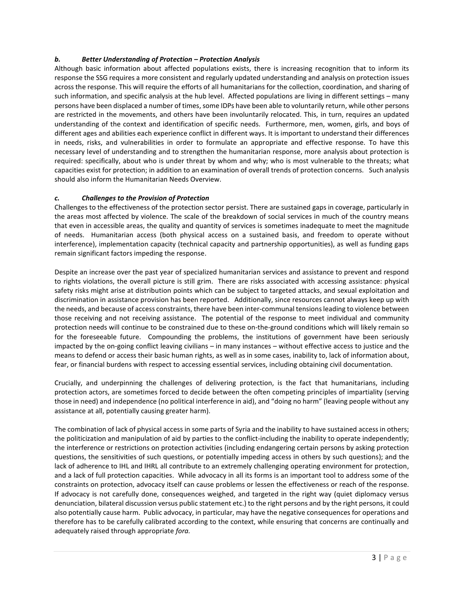# *b. Better Understanding of Protection – Protection Analysis*

Although basic information about affected populations exists, there is increasing recognition that to inform its response the SSG requires a more consistent and regularly updated understanding and analysis on protection issues across the response. This will require the efforts of all humanitarians for the collection, coordination, and sharing of such information, and specific analysis at the hub level. Affected populations are living in different settings – many persons have been displaced a number of times, some IDPs have been able to voluntarily return, while other persons are restricted in the movements, and others have been involuntarily relocated. This, in turn, requires an updated understanding of the context and identification of specific needs. Furthermore, men, women, girls, and boys of different ages and abilities each experience conflict in different ways. It is important to understand their differences in needs, risks, and vulnerabilities in order to formulate an appropriate and effective response. To have this necessary level of understanding and to strengthen the humanitarian response, more analysis about protection is required: specifically, about who is under threat by whom and why; who is most vulnerable to the threats; what capacities exist for protection; in addition to an examination of overall trends of protection concerns. Such analysis should also inform the Humanitarian Needs Overview.

## *c. Challenges to the Provision of Protection*

Challenges to the effectiveness of the protection sector persist. There are sustained gaps in coverage, particularly in the areas most affected by violence. The scale of the breakdown of social services in much of the country means that even in accessible areas, the quality and quantity of services is sometimes inadequate to meet the magnitude of needs. Humanitarian access (both physical access on a sustained basis, and freedom to operate without interference), implementation capacity (technical capacity and partnership opportunities), as well as funding gaps remain significant factors impeding the response.

Despite an increase over the past year of specialized humanitarian services and assistance to prevent and respond to rights violations, the overall picture is still grim. There are risks associated with accessing assistance: physical safety risks might arise at distribution points which can be subject to targeted attacks, and sexual exploitation and discrimination in assistance provision has been reported. Additionally, since resources cannot always keep up with the needs, and because of access constraints, there have been inter-communal tensions leading to violence between those receiving and not receiving assistance. The potential of the response to meet individual and community protection needs will continue to be constrained due to these on-the-ground conditions which will likely remain so for the foreseeable future. Compounding the problems, the institutions of government have been seriously impacted by the on-going conflict leaving civilians – in many instances – without effective access to justice and the means to defend or access their basic human rights, as well as in some cases, inability to, lack of information about, fear, or financial burdens with respect to accessing essential services, including obtaining civil documentation.

Crucially, and underpinning the challenges of delivering protection, is the fact that humanitarians, including protection actors, are sometimes forced to decide between the often competing principles of impartiality (serving those in need) and independence (no political interference in aid), and "doing no harm" (leaving people without any assistance at all, potentially causing greater harm).

The combination of lack of physical access in some parts of Syria and the inability to have sustained access in others; the politicization and manipulation of aid by parties to the conflict-including the inability to operate independently; the interference or restrictions on protection activities (including endangering certain persons by asking protection questions, the sensitivities of such questions, or potentially impeding access in others by such questions); and the lack of adherence to IHL and IHRL all contribute to an extremely challenging operating environment for protection, and a lack of full protection capacities. While advocacy in all its forms is an important tool to address some of the constraints on protection, advocacy itself can cause problems or lessen the effectiveness or reach of the response. If advocacy is not carefully done, consequences weighed, and targeted in the right way (quiet diplomacy versus denunciation, bilateral discussion versus public statement etc.) to the right persons and by the right persons, it could also potentially cause harm. Public advocacy, in particular, may have the negative consequences for operations and therefore has to be carefully calibrated according to the context, while ensuring that concerns are continually and adequately raised through appropriate *fora.*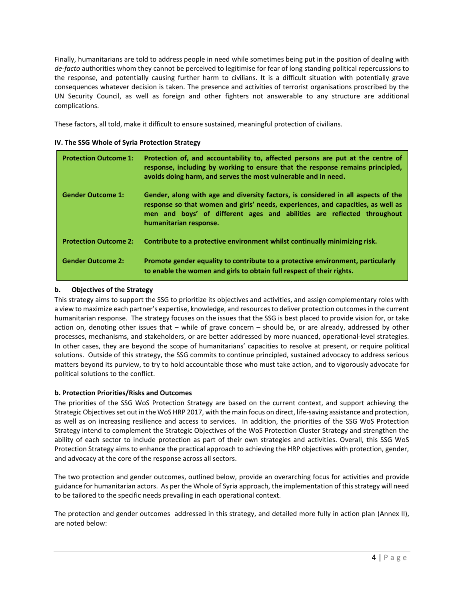Finally, humanitarians are told to address people in need while sometimes being put in the position of dealing with *de-facto* authorities whom they cannot be perceived to legitimise for fear of long standing political repercussions to the response, and potentially causing further harm to civilians. It is a difficult situation with potentially grave consequences whatever decision is taken. The presence and activities of terrorist organisations proscribed by the UN Security Council, as well as foreign and other fighters not answerable to any structure are additional complications.

These factors, all told, make it difficult to ensure sustained, meaningful protection of civilians.

| IV. The SSG Whole of Syria Protection Strategy |  |  |  |  |  |  |
|------------------------------------------------|--|--|--|--|--|--|
|------------------------------------------------|--|--|--|--|--|--|

| <b>Protection Outcome 1:</b> | Protection of, and accountability to, affected persons are put at the centre of<br>response, including by working to ensure that the response remains principled,<br>avoids doing harm, and serves the most vulnerable and in need.                                       |
|------------------------------|---------------------------------------------------------------------------------------------------------------------------------------------------------------------------------------------------------------------------------------------------------------------------|
| <b>Gender Outcome 1:</b>     | Gender, along with age and diversity factors, is considered in all aspects of the<br>response so that women and girls' needs, experiences, and capacities, as well as<br>men and boys' of different ages and abilities are reflected throughout<br>humanitarian response. |
| <b>Protection Outcome 2:</b> | Contribute to a protective environment whilst continually minimizing risk.                                                                                                                                                                                                |
| <b>Gender Outcome 2:</b>     | Promote gender equality to contribute to a protective environment, particularly<br>to enable the women and girls to obtain full respect of their rights.                                                                                                                  |

# **b. Objectives of the Strategy**

This strategy aims to support the SSG to prioritize its objectives and activities, and assign complementary roles with a view to maximize each partner's expertise, knowledge, and resources to deliver protection outcomes in the current humanitarian response. The strategy focuses on the issues that the SSG is best placed to provide vision for, or take action on, denoting other issues that – while of grave concern – should be, or are already, addressed by other processes, mechanisms, and stakeholders, or are better addressed by more nuanced, operational-level strategies. In other cases, they are beyond the scope of humanitarians' capacities to resolve at present, or require political solutions. Outside of this strategy, the SSG commits to continue principled, sustained advocacy to address serious matters beyond its purview, to try to hold accountable those who must take action, and to vigorously advocate for political solutions to the conflict.

## **b. Protection Priorities/Risks and Outcomes**

The priorities of the SSG WoS Protection Strategy are based on the current context, and support achieving the Strategic Objectives set out in the WoS HRP 2017, with the main focus on direct, life-saving assistance and protection, as well as on increasing resilience and access to services. In addition, the priorities of the SSG WoS Protection Strategy intend to complement the Strategic Objectives of the WoS Protection Cluster Strategy and strengthen the ability of each sector to include protection as part of their own strategies and activities. Overall, this SSG WoS Protection Strategy aims to enhance the practical approach to achieving the HRP objectives with protection, gender, and advocacy at the core of the response across all sectors.

The two protection and gender outcomes, outlined below, provide an overarching focus for activities and provide guidance for humanitarian actors. As per the Whole of Syria approach, the implementation of this strategy will need to be tailored to the specific needs prevailing in each operational context.

The protection and gender outcomes addressed in this strategy, and detailed more fully in action plan (Annex II), are noted below: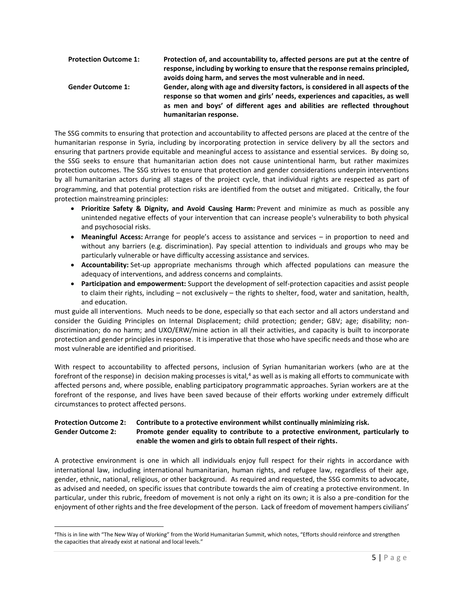| <b>Protection Outcome 1:</b> | Protection of, and accountability to, affected persons are put at the centre of   |
|------------------------------|-----------------------------------------------------------------------------------|
|                              | response, including by working to ensure that the response remains principled,    |
|                              | avoids doing harm, and serves the most vulnerable and in need.                    |
| <b>Gender Outcome 1:</b>     | Gender, along with age and diversity factors, is considered in all aspects of the |
|                              | response so that women and girls' needs, experiences and capacities, as well      |
|                              | as men and boys' of different ages and abilities are reflected throughout         |
|                              | humanitarian response.                                                            |

The SSG commits to ensuring that protection and accountability to affected persons are placed at the centre of the humanitarian response in Syria, including by incorporating protection in service delivery by all the sectors and ensuring that partners provide equitable and meaningful access to assistance and essential services. By doing so, the SSG seeks to ensure that humanitarian action does not cause unintentional harm, but rather maximizes protection outcomes. The SSG strives to ensure that protection and gender considerations underpin interventions by all humanitarian actors during all stages of the project cycle, that individual rights are respected as part of programming, and that potential protection risks are identified from the outset and mitigated. Critically, the four protection mainstreaming principles:

- **Prioritize Safety & Dignity, and Avoid Causing Harm:** Prevent and minimize as much as possible any unintended negative effects of your intervention that can increase people's vulnerability to both physical and psychosocial risks.
- **Meaningful Access:** Arrange for people's access to assistance and services in proportion to need and without any barriers (e.g. discrimination). Pay special attention to individuals and groups who may be particularly vulnerable or have difficulty accessing assistance and services.
- **Accountability:** Set-up appropriate mechanisms through which affected populations can measure the adequacy of interventions, and address concerns and complaints.
- **Participation and empowerment:** Support the development of self-protection capacities and assist people to claim their rights, including – not exclusively – the rights to shelter, food, water and sanitation, health, and education.

must guide all interventions. Much needs to be done, especially so that each sector and all actors understand and consider the Guiding Principles on Internal Displacement; child protection; gender; GBV; age; disability; nondiscrimination; do no harm; and UXO/ERW/mine action in all their activities, and capacity is built to incorporate protection and gender principles in response. It is imperative that those who have specific needs and those who are most vulnerable are identified and prioritised.

With respect to accountability to affected persons, inclusion of Syrian humanitarian workers (who are at the forefront of the response) in decision making processes is vital, <sup>4</sup> as well as is making all efforts to communicate with affected persons and, where possible, enabling participatory programmatic approaches. Syrian workers are at the forefront of the response, and lives have been saved because of their efforts working under extremely difficult circumstances to protect affected persons.

# **Protection Outcome 2: Contribute to a protective environment whilst continually minimizing risk. Gender Outcome 2: Promote gender equality to contribute to a protective environment, particularly to enable the women and girls to obtain full respect of their rights.**

A protective environment is one in which all individuals enjoy full respect for their rights in accordance with international law, including international humanitarian, human rights, and refugee law, regardless of their age, gender, ethnic, national, religious, or other background. As required and requested, the SSG commits to advocate, as advised and needed, on specific issues that contribute towards the aim of creating a protective environment. In particular, under this rubric, freedom of movement is not only a right on its own; it is also a pre-condition for the enjoyment of other rights and the free development of the person. Lack of freedom of movement hampers civilians'

 $\overline{a}$ 

<sup>4</sup>This is in line with "The New Way of Working" from the World Humanitarian Summit, which notes, "Efforts should reinforce and strengthen the capacities that already exist at national and local levels."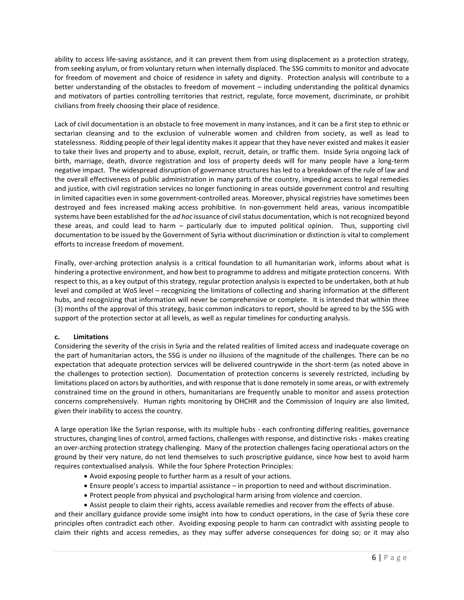ability to access life-saving assistance, and it can prevent them from using displacement as a protection strategy, from seeking asylum, or from voluntary return when internally displaced. The SSG commits to monitor and advocate for freedom of movement and choice of residence in safety and dignity. Protection analysis will contribute to a better understanding of the obstacles to freedom of movement – including understanding the political dynamics and motivators of parties controlling territories that restrict, regulate, force movement, discriminate, or prohibit civilians from freely choosing their place of residence.

Lack of civil documentation is an obstacle to free movement in many instances, and it can be a first step to ethnic or sectarian cleansing and to the exclusion of vulnerable women and children from society, as well as lead to statelessness. Ridding people of their legal identity makes it appear that they have never existed and makes it easier to take their lives and property and to abuse, exploit, recruit, detain, or traffic them. Inside Syria ongoing lack of birth, marriage, death, divorce registration and loss of property deeds will for many people have a long-term negative impact. The widespread disruption of governance structures has led to a breakdown of the rule of law and the overall effectiveness of public administration in many parts of the country, impeding access to legal remedies and justice, with civil registration services no longer functioning in areas outside government control and resulting in limited capacities even in some government-controlled areas. Moreover, physical registries have sometimes been destroyed and fees increased making access prohibitive. In non-government held areas, various incompatible systems have been established for the *ad hoc* issuance of civil status documentation, which is not recognized beyond these areas, and could lead to harm – particularly due to imputed political opinion. Thus, supporting civil documentation to be issued by the Government of Syria without discrimination or distinction is vital to complement efforts to increase freedom of movement.

Finally, over-arching protection analysis is a critical foundation to all humanitarian work, informs about what is hindering a protective environment, and how best to programme to address and mitigate protection concerns. With respect to this, as a key output of this strategy, regular protection analysis is expected to be undertaken, both at hub level and compiled at WoS level – recognizing the limitations of collecting and sharing information at the different hubs, and recognizing that information will never be comprehensive or complete. It is intended that within three (3) months of the approval of this strategy, basic common indicators to report, should be agreed to by the SSG with support of the protection sector at all levels, as well as regular timelines for conducting analysis.

## **c. Limitations**

Considering the severity of the crisis in Syria and the related realities of limited access and inadequate coverage on the part of humanitarian actors, the SSG is under no illusions of the magnitude of the challenges. There can be no expectation that adequate protection services will be delivered countrywide in the short-term (as noted above in the challenges to protection section). Documentation of protection concerns is severely restricted, including by limitations placed on actors by authorities, and with response that is done remotely in some areas, or with extremely constrained time on the ground in others, humanitarians are frequently unable to monitor and assess protection concerns comprehensively. Human rights monitoring by OHCHR and the Commission of Inquiry are also limited, given their inability to access the country.

A large operation like the Syrian response, with its multiple hubs - each confronting differing realities, governance structures, changing lines of control, armed factions, challenges with response, and distinctive risks - makes creating an over-arching protection strategy challenging. Many of the protection challenges facing operational actors on the ground by their very nature, do not lend themselves to such proscriptive guidance, since how best to avoid harm requires contextualised analysis. While the four Sphere Protection Principles:

- Avoid exposing people to further harm as a result of your actions.
- Ensure people's access to impartial assistance in proportion to need and without discrimination.
- Protect people from physical and psychological harm arising from violence and coercion.
- Assist people to claim their rights, access available remedies and recover from the effects of abuse.

and their ancillary guidance provide some insight into how to conduct operations, in the case of Syria these core principles often contradict each other. Avoiding exposing people to harm can contradict with assisting people to claim their rights and access remedies, as they may suffer adverse consequences for doing so; or it may also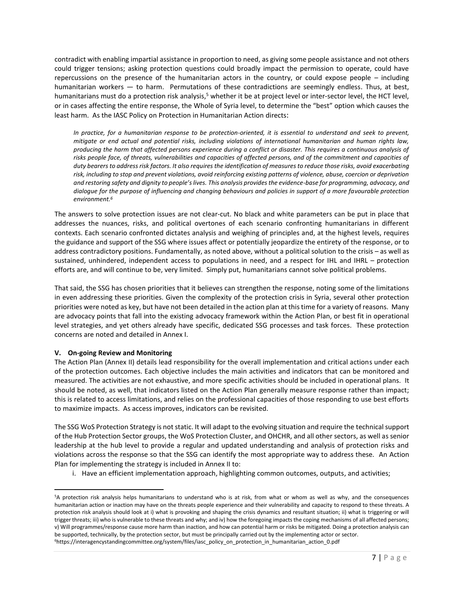contradict with enabling impartial assistance in proportion to need, as giving some people assistance and not others could trigger tensions; asking protection questions could broadly impact the permission to operate, could have repercussions on the presence of the humanitarian actors in the country, or could expose people – including humanitarian workers — to harm. Permutations of these contradictions are seemingly endless. Thus, at best, humanitarians must do a protection risk analysis,<sup>5</sup> whether it be at project level or inter-sector level, the HCT level, or in cases affecting the entire response, the Whole of Syria level, to determine the "best" option which causes the least harm. As the IASC Policy on Protection in Humanitarian Action directs:

*In practice, for a humanitarian response to be protection-oriented, it is essential to understand and seek to prevent, mitigate or end actual and potential risks, including violations of international humanitarian and human rights law, producing the harm that affected persons experience during a conflict or disaster. This requires a continuous analysis of* risks people face, of threats, vulnerabilities and capacities of affected persons, and of the commitment and capacities of *duty bearers to address risk factors. It also requires the identification of measures to reduce those risks, avoid exacerbating risk, including to stop and prevent violations, avoid reinforcing existing patterns of violence, abuse, coercion or deprivation and restoring safety and dignity to people's lives. This analysis provides the evidence-base for programming, advocacy, and dialogue for the purpose of influencing and changing behaviours and policies in support of a more favourable protection environment.<sup>6</sup>*

The answers to solve protection issues are not clear-cut. No black and white parameters can be put in place that addresses the nuances, risks, and political overtones of each scenario confronting humanitarians in different contexts. Each scenario confronted dictates analysis and weighing of principles and, at the highest levels, requires the guidance and support of the SSG where issues affect or potentially jeopardize the entirety of the response, or to address contradictory positions. Fundamentally, as noted above, without a political solution to the crisis – as well as sustained, unhindered, independent access to populations in need, and a respect for IHL and IHRL – protection efforts are, and will continue to be, very limited. Simply put, humanitarians cannot solve political problems.

That said, the SSG has chosen priorities that it believes can strengthen the response, noting some of the limitations in even addressing these priorities. Given the complexity of the protection crisis in Syria, several other protection priorities were noted as key, but have not been detailed in the action plan at this time for a variety of reasons. Many are advocacy points that fall into the existing advocacy framework within the Action Plan, or best fit in operational level strategies, and yet others already have specific, dedicated SSG processes and task forces. These protection concerns are noted and detailed in Annex I.

## **V. On-going Review and Monitoring**

 $\overline{\phantom{a}}$ 

The Action Plan (Annex II) details lead responsibility for the overall implementation and critical actions under each of the protection outcomes. Each objective includes the main activities and indicators that can be monitored and measured. The activities are not exhaustive, and more specific activities should be included in operational plans. It should be noted, as well, that indicators listed on the Action Plan generally measure response rather than impact; this is related to access limitations, and relies on the professional capacities of those responding to use best efforts to maximize impacts. As access improves, indicators can be revisited.

The SSG WoS Protection Strategy is not static. It will adapt to the evolving situation and require the technicalsupport of the Hub Protection Sector groups, the WoS Protection Cluster, and OHCHR, and all other sectors, as well as senior leadership at the hub level to provide a regular and updated understanding and analysis of protection risks and violations across the response so that the SSG can identify the most appropriate way to address these. An Action Plan for implementing the strategy is included in Annex II to:

i. Have an efficient implementation approach, highlighting common outcomes, outputs, and activities;

<sup>5</sup>A protection risk analysis helps humanitarians to understand who is at risk, from what or whom as well as why, and the consequences humanitarian action or inaction may have on the threats people experience and their vulnerability and capacity to respond to these threats. A protection risk analysis should look at i) what is provoking and shaping the crisis dynamics and resultant situation; ii) what is triggering or will trigger threats; iii) who is vulnerable to these threats and why; and iv) how the foregoing impacts the coping mechanisms of all affected persons; v) Will programmes/response cause more harm than inaction, and how can potential harm or risks be mitigated. Doing a protection analysis can be supported, technically, by the protection sector, but must be principally carried out by the implementing actor or sector. 6https://interagencystandingcommittee.org/system/files/iasc\_policy\_on\_protection\_in\_humanitarian\_action\_0.pdf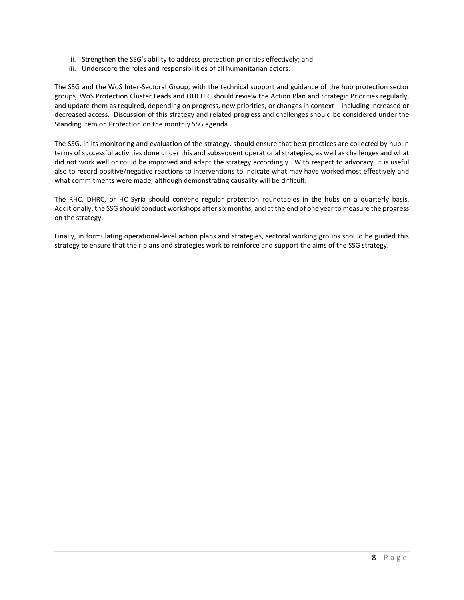- ii. Strengthen the SSG's ability to address protection priorities effectively; and
- iii. Underscore the roles and responsibilities of all humanitarian actors.

The SSG and the WoS Inter-Sectoral Group, with the technical support and guidance of the hub protection sector groups*,* WoS Protection Cluster Leads and OHCHR, should review the Action Plan and Strategic Priorities regularly, and update them as required, depending on progress, new priorities, or changes in context – including increased or decreased access. Discussion of this strategy and related progress and challenges should be considered under the Standing Item on Protection on the monthly SSG agenda.

The SSG, in its monitoring and evaluation of the strategy, should ensure that best practices are collected by hub in terms of successful activities done under this and subsequent operational strategies, as well as challenges and what did not work well or could be improved and adapt the strategy accordingly. With respect to advocacy, it is useful also to record positive/negative reactions to interventions to indicate what may have worked most effectively and what commitments were made, although demonstrating causality will be difficult.

The RHC, DHRC, or HC Syria should convene regular protection roundtables in the hubs on a quarterly basis. Additionally, the SSG should conduct workshops after six months, and at the end of one year to measure the progress on the strategy.

Finally, in formulating operational-level action plans and strategies, sectoral working groups should be guided this strategy to ensure that their plans and strategies work to reinforce and support the aims of the SSG strategy.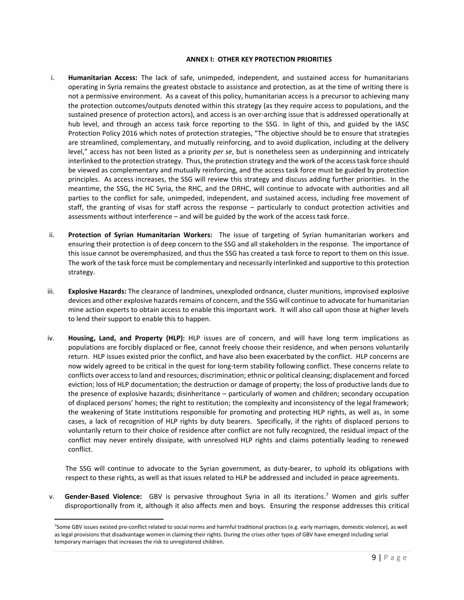#### **ANNEX I: OTHER KEY PROTECTION PRIORITIES**

- i. **Humanitarian Access:** The lack of safe, unimpeded, independent, and sustained access for humanitarians operating in Syria remains the greatest obstacle to assistance and protection, as at the time of writing there is not a permissive environment. As a caveat of this policy, humanitarian access is a precursor to achieving many the protection outcomes/outputs denoted within this strategy (as they require access to populations, and the sustained presence of protection actors), and access is an over-arching issue that is addressed operationally at hub level, and through an access task force reporting to the SSG. In light of this, and guided by the IASC Protection Policy 2016 which notes of protection strategies, "The objective should be to ensure that strategies are streamlined, complementary, and mutually reinforcing, and to avoid duplication, including at the delivery level," access has not been listed as a priority *per se*, but is nonetheless seen as underpinning and intricately interlinked to the protection strategy. Thus, the protection strategy and the work of the access task force should be viewed as complementary and mutually reinforcing, and the access task force must be guided by protection principles. As access increases, the SSG will review this strategy and discuss adding further priorities. In the meantime, the SSG, the HC Syria, the RHC, and the DRHC, will continue to advocate with authorities and all parties to the conflict for safe, unimpeded, independent, and sustained access, including free movement of staff, the granting of visas for staff across the response – particularly to conduct protection activities and assessments without interference – and will be guided by the work of the access task force.
- ii. **Protection of Syrian Humanitarian Workers:** The issue of targeting of Syrian humanitarian workers and ensuring their protection is of deep concern to the SSG and all stakeholders in the response. The importance of this issue cannot be overemphasized, and thus the SSG has created a task force to report to them on this issue. The work of the task force must be complementary and necessarily interlinked and supportive to this protection strategy.
- iii. **Explosive Hazards:** The clearance of landmines, unexploded ordnance, cluster munitions, improvised explosive devices and other explosive hazards remains of concern, and the SSG will continue to advocate for humanitarian mine action experts to obtain access to enable this important work. It will also call upon those at higher levels to lend their support to enable this to happen.
- iv. **Housing, Land, and Property (HLP):** HLP issues are of concern, and will have long term implications as populations are forcibly displaced or flee, cannot freely choose their residence, and when persons voluntarily return. HLP issues existed prior the conflict, and have also been exacerbated by the conflict. HLP concerns are now widely agreed to be critical in the quest for long-term stability following conflict. These concerns relate to conflicts over access to land and resources; discrimination; ethnic or political cleansing; displacement and forced eviction; loss of HLP documentation; the destruction or damage of property; the loss of productive lands due to the presence of explosive hazards; disinheritance – particularly of women and children; secondary occupation of displaced persons' homes; the right to restitution; the complexity and inconsistency of the legal framework; the weakening of State institutions responsible for promoting and protecting HLP rights, as well as, in some cases, a lack of recognition of HLP rights by duty bearers. Specifically, if the rights of displaced persons to voluntarily return to their choice of residence after conflict are not fully recognized, the residual impact of the conflict may never entirely dissipate, with unresolved HLP rights and claims potentially leading to renewed conflict.

The SSG will continue to advocate to the Syrian government, as duty-bearer, to uphold its obligations with respect to these rights, as well as that issues related to HLP be addressed and included in peace agreements.

v. **Gender-Based Violence:** GBV is pervasive throughout Syria in all its iterations. <sup>7</sup> Women and girls suffer disproportionally from it, although it also affects men and boys. Ensuring the response addresses this critical

 $\overline{a}$ 

<sup>7</sup>Some GBV issues existed pre-conflict related to social norms and harmful traditional practices (e.g. early marriages, domestic violence), as well as legal provisions that disadvantage women in claiming their rights. During the crises other types of GBV have emerged including serial temporary marriages that increases the risk to unregistered children.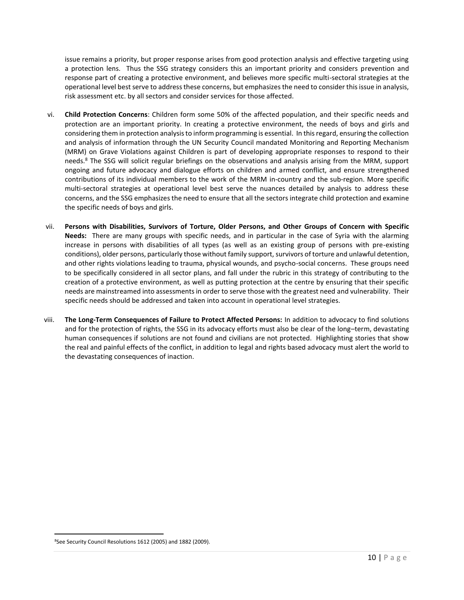issue remains a priority, but proper response arises from good protection analysis and effective targeting using a protection lens. Thus the SSG strategy considers this an important priority and considers prevention and response part of creating a protective environment, and believes more specific multi-sectoral strategies at the operational level best serve to address these concerns, but emphasizes the need to consider this issue in analysis, risk assessment etc. by all sectors and consider services for those affected.

- vi. **Child Protection Concerns**: Children form some 50% of the affected population, and their specific needs and protection are an important priority. In creating a protective environment, the needs of boys and girls and considering them in protection analysis to inform programming is essential. In this regard, ensuring the collection and analysis of information through the UN Security Council mandated Monitoring and Reporting Mechanism (MRM) on Grave Violations against Children is part of developing appropriate responses to respond to their needs.<sup>8</sup> The SSG will solicit regular briefings on the observations and analysis arising from the MRM, support ongoing and future advocacy and dialogue efforts on children and armed conflict, and ensure strengthened contributions of its individual members to the work of the MRM in-country and the sub-region. More specific multi-sectoral strategies at operational level best serve the nuances detailed by analysis to address these concerns, and the SSG emphasizes the need to ensure that all the sectors integrate child protection and examine the specific needs of boys and girls.
- vii. **Persons with Disabilities, Survivors of Torture, Older Persons, and Other Groups of Concern with Specific Needs:** There are many groups with specific needs, and in particular in the case of Syria with the alarming increase in persons with disabilities of all types (as well as an existing group of persons with pre-existing conditions), older persons, particularly those without family support, survivors of torture and unlawful detention, and other rights violations leading to trauma, physical wounds, and psycho-social concerns. These groups need to be specifically considered in all sector plans, and fall under the rubric in this strategy of contributing to the creation of a protective environment, as well as putting protection at the centre by ensuring that their specific needs are mainstreamed into assessments in order to serve those with the greatest need and vulnerability. Their specific needs should be addressed and taken into account in operational level strategies.
- viii. **The Long-Term Consequences of Failure to Protect Affected Persons:** In addition to advocacy to find solutions and for the protection of rights, the SSG in its advocacy efforts must also be clear of the long–term, devastating human consequences if solutions are not found and civilians are not protected. Highlighting stories that show the real and painful effects of the conflict, in addition to legal and rights based advocacy must alert the world to the devastating consequences of inaction.

<sup>8</sup>See Security Council Resolutions 1612 (2005) and 1882 (2009).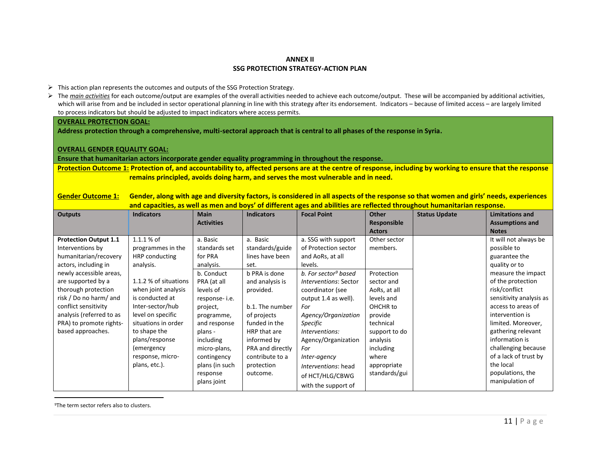## **ANNEX II SSG PROTECTION STRATEGY-ACTION PLAN**

- $\triangleright$  This action plan represents the outcomes and outputs of the SSG Protection Strategy.
- ▶ The *main activities* for each outcome/output are examples of the overall activities needed to achieve each outcome/output. These will be accompanied by additional activities, which will arise from and be included in sector operational planning in line with this strategy after its endorsement. Indicators - because of limited access - are largely limited to process indicators but should be adjusted to impact indicators where access permits.

#### **OVERALL PROTECTION GOAL:**

**Address protection through a comprehensive, multi-sectoral approach that is central to all phases of the response in Syria.**

#### **OVERALL GENDER EQUALITY GOAL:**

**Ensure that humanitarian actors incorporate gender equality programming in throughout the response.**

**Protection Outcome 1: Protection of, and accountability to, affected persons are at the centre of response, including by working to ensure that the response remains principled, avoids doing harm, and serves the most vulnerable and in need.**

**Gender Outcome 1: Gender, along with age and diversity factors, is considered in all aspects of the response so that women and girls' needs, experiences and capacities, as well as men and boys' of different ages and abilities are reflected throughout humanitarian response.**

| <b>Outputs</b>                                                                                                                                                                                                                                                                                          | <b>Indicators</b>                                                                                                                                                                                                                                                                       | <b>Main</b><br><b>Activities</b>                                                                                                                                                                                                                           | <b>Indicators</b>                                                                                                                                                                                                                                          | <b>Focal Point</b>                                                                                                                                                                                                                                                                                                                                             | <b>Other</b><br><b>Responsible</b><br><b>Actors</b>                                                                                                                                                       | <b>Status Update</b> | <b>Limitations and</b><br><b>Assumptions and</b><br><b>Notes</b>                                                                                                                                                                                                                                                                                                         |
|---------------------------------------------------------------------------------------------------------------------------------------------------------------------------------------------------------------------------------------------------------------------------------------------------------|-----------------------------------------------------------------------------------------------------------------------------------------------------------------------------------------------------------------------------------------------------------------------------------------|------------------------------------------------------------------------------------------------------------------------------------------------------------------------------------------------------------------------------------------------------------|------------------------------------------------------------------------------------------------------------------------------------------------------------------------------------------------------------------------------------------------------------|----------------------------------------------------------------------------------------------------------------------------------------------------------------------------------------------------------------------------------------------------------------------------------------------------------------------------------------------------------------|-----------------------------------------------------------------------------------------------------------------------------------------------------------------------------------------------------------|----------------------|--------------------------------------------------------------------------------------------------------------------------------------------------------------------------------------------------------------------------------------------------------------------------------------------------------------------------------------------------------------------------|
| <b>Protection Output 1.1</b><br>Interventions by<br>humanitarian/recovery<br>actors, including in<br>newly accessible areas,<br>are supported by a<br>thorough protection<br>risk / Do no harm/ and<br>conflict sensitivity<br>analysis (referred to as<br>PRA) to promote rights-<br>based approaches. | $1.1.1%$ of<br>programmes in the<br>HRP conducting<br>analysis.<br>1.1.2 % of situations<br>when joint analysis<br>is conducted at<br>Inter-sector/hub<br>level on specific<br>situations in order<br>to shape the<br>plans/response<br>(emergency<br>response, micro-<br>plans, etc.). | a. Basic<br>standards set<br>for PRA<br>analysis.<br>b. Conduct<br>PRA (at all<br>levels of<br>response-i.e.<br>project,<br>programme,<br>and response<br>plans -<br>including<br>micro-plans,<br>contingency<br>plans (in such<br>response<br>plans joint | a. Basic<br>standards/guide<br>lines have been<br>set.<br>b PRA is done<br>and analysis is<br>provided.<br>b.1. The number<br>of projects<br>funded in the<br>HRP that are<br>informed by<br>PRA and directly<br>contribute to a<br>protection<br>outcome. | a. SSG with support<br>of Protection sector<br>and AoRs, at all<br>levels.<br>b. For sector <sup>9</sup> based<br>Interventions: Sector<br>coordinator (see<br>output 1.4 as well).<br>For<br>Agency/Organization<br>Specific<br>Interventions:<br>Agency/Organization<br>For<br>Inter-agency<br>Interventions: head<br>of HCT/HLG/CBWG<br>with the support of | Other sector<br>members.<br>Protection<br>sector and<br>AoRs, at all<br>levels and<br>OHCHR to<br>provide<br>technical<br>support to do<br>analysis<br>including<br>where<br>appropriate<br>standards/gui |                      | It will not always be<br>possible to<br>guarantee the<br>quality or to<br>measure the impact<br>of the protection<br>risk/conflict<br>sensitivity analysis as<br>access to areas of<br>intervention is<br>limited. Moreover,<br>gathering relevant<br>information is<br>challenging because<br>of a lack of trust by<br>the local<br>populations, the<br>manipulation of |

<sup>9</sup>The term sector refers also to clusters.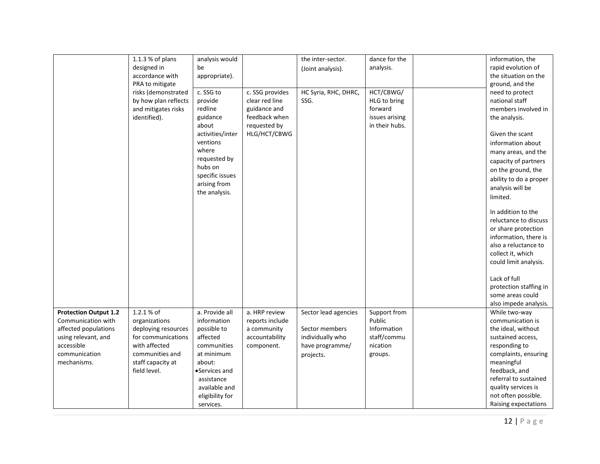|                                             | 1.1.3 % of plans                                                                   | analysis would                                                                                                                                              |                                                                                                    | the inter-sector.                  | dance for the                                                            | information, the                                                                                                                                                                                                 |
|---------------------------------------------|------------------------------------------------------------------------------------|-------------------------------------------------------------------------------------------------------------------------------------------------------------|----------------------------------------------------------------------------------------------------|------------------------------------|--------------------------------------------------------------------------|------------------------------------------------------------------------------------------------------------------------------------------------------------------------------------------------------------------|
|                                             | designed in                                                                        | be                                                                                                                                                          |                                                                                                    | (Joint analysis).                  | analysis.                                                                | rapid evolution of                                                                                                                                                                                               |
|                                             | accordance with<br>PRA to mitigate                                                 | appropriate).                                                                                                                                               |                                                                                                    |                                    |                                                                          | the situation on the<br>ground, and the                                                                                                                                                                          |
|                                             | risks (demonstrated<br>by how plan reflects<br>and mitigates risks<br>identified). | c. SSG to<br>provide<br>redline<br>guidance<br>about<br>activities/inter<br>ventions<br>where<br>requested by<br>hubs on<br>specific issues<br>arising from | c. SSG provides<br>clear red line<br>guidance and<br>feedback when<br>requested by<br>HLG/HCT/CBWG | HC Syria, RHC, DHRC,<br>SSG.       | HCT/CBWG/<br>HLG to bring<br>forward<br>issues arising<br>in their hubs. | need to protect<br>national staff<br>members involved in<br>the analysis.<br>Given the scant<br>information about<br>many areas, and the<br>capacity of partners<br>on the ground, the<br>ability to do a proper |
|                                             |                                                                                    | the analysis.                                                                                                                                               |                                                                                                    |                                    |                                                                          | analysis will be<br>limited.<br>In addition to the                                                                                                                                                               |
|                                             |                                                                                    |                                                                                                                                                             |                                                                                                    |                                    |                                                                          | reluctance to discuss                                                                                                                                                                                            |
|                                             |                                                                                    |                                                                                                                                                             |                                                                                                    |                                    |                                                                          | or share protection                                                                                                                                                                                              |
|                                             |                                                                                    |                                                                                                                                                             |                                                                                                    |                                    |                                                                          | information, there is<br>also a reluctance to                                                                                                                                                                    |
|                                             |                                                                                    |                                                                                                                                                             |                                                                                                    |                                    |                                                                          | collect it, which                                                                                                                                                                                                |
|                                             |                                                                                    |                                                                                                                                                             |                                                                                                    |                                    |                                                                          | could limit analysis.                                                                                                                                                                                            |
|                                             |                                                                                    |                                                                                                                                                             |                                                                                                    |                                    |                                                                          | Lack of full<br>protection staffing in<br>some areas could<br>also impede analysis.                                                                                                                              |
| <b>Protection Output 1.2</b>                | 1.2.1 % of                                                                         | a. Provide all                                                                                                                                              | a. HRP review                                                                                      | Sector lead agencies               | Support from                                                             | While two-way                                                                                                                                                                                                    |
| Communication with                          | organizations                                                                      | information                                                                                                                                                 | reports include                                                                                    |                                    | Public                                                                   | communication is                                                                                                                                                                                                 |
| affected populations<br>using relevant, and | deploying resources<br>for communications                                          | possible to<br>affected                                                                                                                                     | a community<br>accountability                                                                      | Sector members<br>individually who | Information<br>staff/commu                                               | the ideal, without<br>sustained access,                                                                                                                                                                          |
| accessible                                  | with affected                                                                      | communities                                                                                                                                                 | component.                                                                                         | have programme/                    | nication                                                                 | responding to                                                                                                                                                                                                    |
| communication                               | communities and                                                                    | at minimum                                                                                                                                                  |                                                                                                    | projects.                          | groups.                                                                  | complaints, ensuring                                                                                                                                                                                             |
| mechanisms.                                 | staff capacity at                                                                  | about:                                                                                                                                                      |                                                                                                    |                                    |                                                                          | meaningful                                                                                                                                                                                                       |
|                                             | field level.                                                                       | •Services and                                                                                                                                               |                                                                                                    |                                    |                                                                          | feedback, and                                                                                                                                                                                                    |
|                                             |                                                                                    | assistance                                                                                                                                                  |                                                                                                    |                                    |                                                                          | referral to sustained                                                                                                                                                                                            |
|                                             |                                                                                    | available and                                                                                                                                               |                                                                                                    |                                    |                                                                          | quality services is                                                                                                                                                                                              |
|                                             |                                                                                    | eligibility for                                                                                                                                             |                                                                                                    |                                    |                                                                          | not often possible.                                                                                                                                                                                              |
|                                             |                                                                                    | services.                                                                                                                                                   |                                                                                                    |                                    |                                                                          | Raising expectations                                                                                                                                                                                             |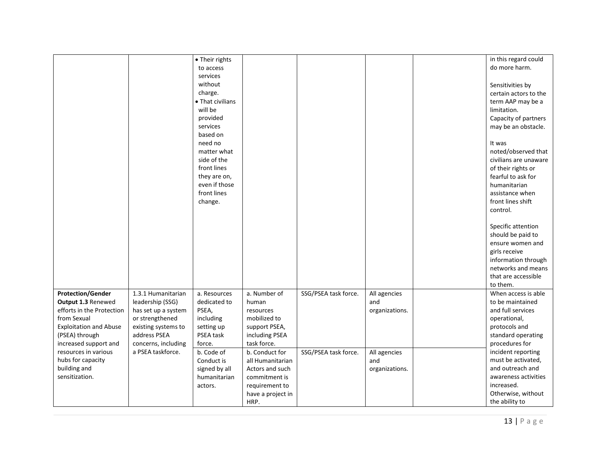|                               |                     |                  |                   |                      |                | in this regard could  |
|-------------------------------|---------------------|------------------|-------------------|----------------------|----------------|-----------------------|
|                               |                     | • Their rights   |                   |                      |                | do more harm.         |
|                               |                     | to access        |                   |                      |                |                       |
|                               |                     | services         |                   |                      |                |                       |
|                               |                     | without          |                   |                      |                | Sensitivities by      |
|                               |                     | charge.          |                   |                      |                | certain actors to the |
|                               |                     | • That civilians |                   |                      |                | term AAP may be a     |
|                               |                     | will be          |                   |                      |                | limitation.           |
|                               |                     | provided         |                   |                      |                | Capacity of partners  |
|                               |                     | services         |                   |                      |                | may be an obstacle.   |
|                               |                     | based on         |                   |                      |                |                       |
|                               |                     | need no          |                   |                      |                | It was                |
|                               |                     | matter what      |                   |                      |                | noted/observed that   |
|                               |                     | side of the      |                   |                      |                | civilians are unaware |
|                               |                     | front lines      |                   |                      |                | of their rights or    |
|                               |                     | they are on,     |                   |                      |                | fearful to ask for    |
|                               |                     | even if those    |                   |                      |                | humanitarian          |
|                               |                     | front lines      |                   |                      |                | assistance when       |
|                               |                     |                  |                   |                      |                |                       |
|                               |                     | change.          |                   |                      |                | front lines shift     |
|                               |                     |                  |                   |                      |                | control.              |
|                               |                     |                  |                   |                      |                |                       |
|                               |                     |                  |                   |                      |                | Specific attention    |
|                               |                     |                  |                   |                      |                | should be paid to     |
|                               |                     |                  |                   |                      |                | ensure women and      |
|                               |                     |                  |                   |                      |                | girls receive         |
|                               |                     |                  |                   |                      |                | information through   |
|                               |                     |                  |                   |                      |                | networks and means    |
|                               |                     |                  |                   |                      |                | that are accessible   |
|                               |                     |                  |                   |                      |                | to them.              |
| <b>Protection/Gender</b>      | 1.3.1 Humanitarian  | a. Resources     | a. Number of      | SSG/PSEA task force. | All agencies   | When access is able   |
| Output 1.3 Renewed            | leadership (SSG)    | dedicated to     | human             |                      | and            | to be maintained      |
| efforts in the Protection     | has set up a system | PSEA,            | resources         |                      | organizations. | and full services     |
| from Sexual                   | or strengthened     | including        | mobilized to      |                      |                | operational,          |
| <b>Exploitation and Abuse</b> | existing systems to | setting up       | support PSEA,     |                      |                | protocols and         |
| (PSEA) through                | address PSEA        | PSEA task        | including PSEA    |                      |                | standard operating    |
| increased support and         | concerns, including | force.           | task force.       |                      |                | procedures for        |
| resources in various          | a PSEA taskforce.   | b. Code of       | b. Conduct for    | SSG/PSEA task force. | All agencies   | incident reporting    |
| hubs for capacity             |                     | Conduct is       | all Humanitarian  |                      | and            | must be activated,    |
| building and                  |                     |                  |                   |                      |                | and outreach and      |
| sensitization.                |                     | signed by all    | Actors and such   |                      | organizations. | awareness activities  |
|                               |                     | humanitarian     | commitment is     |                      |                |                       |
|                               |                     | actors.          | requirement to    |                      |                | increased.            |
|                               |                     |                  | have a project in |                      |                | Otherwise, without    |
|                               |                     |                  | HRP.              |                      |                | the ability to        |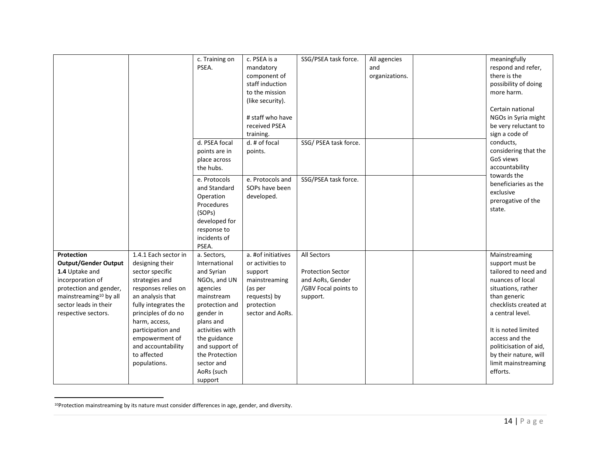|                                    |                      | c. Training on  | c. PSEA is a       | SSG/PSEA task force.     | All agencies   | meaningfully           |
|------------------------------------|----------------------|-----------------|--------------------|--------------------------|----------------|------------------------|
|                                    |                      | PSEA.           | mandatory          |                          | and            | respond and refer,     |
|                                    |                      |                 | component of       |                          | organizations. | there is the           |
|                                    |                      |                 | staff induction    |                          |                |                        |
|                                    |                      |                 |                    |                          |                | possibility of doing   |
|                                    |                      |                 | to the mission     |                          |                | more harm.             |
|                                    |                      |                 | (like security).   |                          |                |                        |
|                                    |                      |                 |                    |                          |                | Certain national       |
|                                    |                      |                 | # staff who have   |                          |                | NGOs in Syria might    |
|                                    |                      |                 | received PSEA      |                          |                | be very reluctant to   |
|                                    |                      |                 | training.          |                          |                | sign a code of         |
|                                    |                      | d. PSEA focal   | d. # of focal      | SSG/ PSEA task force.    |                | conducts,              |
|                                    |                      | points are in   | points.            |                          |                | considering that the   |
|                                    |                      | place across    |                    |                          |                | GoS views              |
|                                    |                      | the hubs.       |                    |                          |                | accountability         |
|                                    |                      | e. Protocols    | e. Protocols and   | SSG/PSEA task force.     |                | towards the            |
|                                    |                      | and Standard    | SOPs have been     |                          |                | beneficiaries as the   |
|                                    |                      | Operation       | developed.         |                          |                | exclusive              |
|                                    |                      | Procedures      |                    |                          |                | prerogative of the     |
|                                    |                      | (SOPs)          |                    |                          |                | state.                 |
|                                    |                      | developed for   |                    |                          |                |                        |
|                                    |                      |                 |                    |                          |                |                        |
|                                    |                      | response to     |                    |                          |                |                        |
|                                    |                      | incidents of    |                    |                          |                |                        |
|                                    |                      | PSEA.           |                    |                          |                |                        |
| Protection                         | 1.4.1 Each sector in | a. Sectors,     | a. #of initiatives | All Sectors              |                | Mainstreaming          |
| <b>Output/Gender Output</b>        | designing their      | International   | or activities to   |                          |                | support must be        |
| 1.4 Uptake and                     | sector specific      | and Syrian      | support            | <b>Protection Sector</b> |                | tailored to need and   |
| incorporation of                   | strategies and       | NGOs, and UN    | mainstreaming      | and AoRs, Gender         |                | nuances of local       |
| protection and gender,             | responses relies on  | agencies        | (as per            | /GBV Focal points to     |                | situations, rather     |
| mainstreaming <sup>10</sup> by all | an analysis that     | mainstream      | requests) by       | support.                 |                | than generic           |
| sector leads in their              | fully integrates the | protection and  | protection         |                          |                | checklists created at  |
| respective sectors.                | principles of do no  | gender in       | sector and AoRs.   |                          |                | a central level.       |
|                                    | harm, access,        | plans and       |                    |                          |                |                        |
|                                    | participation and    | activities with |                    |                          |                | It is noted limited    |
|                                    | empowerment of       | the guidance    |                    |                          |                | access and the         |
|                                    | and accountability   | and support of  |                    |                          |                | politicisation of aid, |
|                                    | to affected          | the Protection  |                    |                          |                | by their nature, will  |
|                                    | populations.         | sector and      |                    |                          |                | limit mainstreaming    |
|                                    |                      | AoRs (such      |                    |                          |                | efforts.               |
|                                    |                      | support         |                    |                          |                |                        |

<sup>10</sup>Protection mainstreaming by its nature must consider differences in age, gender, and diversity.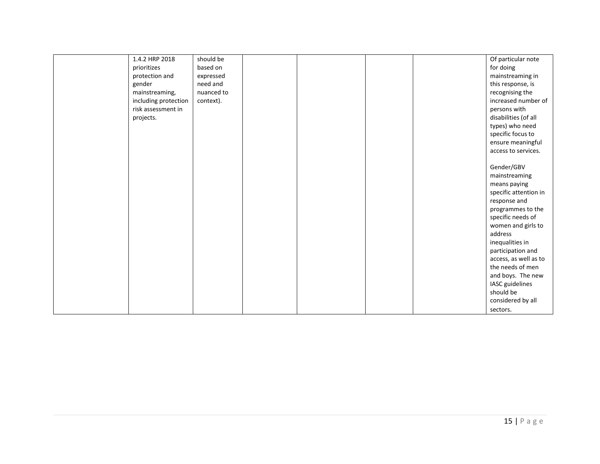| 1.4.2 HRP 2018       | should be  |  |  | Of particular note    |
|----------------------|------------|--|--|-----------------------|
| prioritizes          | based on   |  |  | for doing             |
| protection and       | expressed  |  |  | mainstreaming in      |
| gender               | need and   |  |  | this response, is     |
| mainstreaming,       | nuanced to |  |  | recognising the       |
| including protection | context).  |  |  | increased number of   |
| risk assessment in   |            |  |  | persons with          |
| projects.            |            |  |  | disabilities (of all  |
|                      |            |  |  | types) who need       |
|                      |            |  |  | specific focus to     |
|                      |            |  |  | ensure meaningful     |
|                      |            |  |  | access to services.   |
|                      |            |  |  |                       |
|                      |            |  |  | Gender/GBV            |
|                      |            |  |  | mainstreaming         |
|                      |            |  |  | means paying          |
|                      |            |  |  | specific attention in |
|                      |            |  |  | response and          |
|                      |            |  |  | programmes to the     |
|                      |            |  |  | specific needs of     |
|                      |            |  |  | women and girls to    |
|                      |            |  |  | address               |
|                      |            |  |  | inequalities in       |
|                      |            |  |  | participation and     |
|                      |            |  |  | access, as well as to |
|                      |            |  |  | the needs of men      |
|                      |            |  |  | and boys. The new     |
|                      |            |  |  | IASC guidelines       |
|                      |            |  |  | should be             |
|                      |            |  |  | considered by all     |
|                      |            |  |  | sectors.              |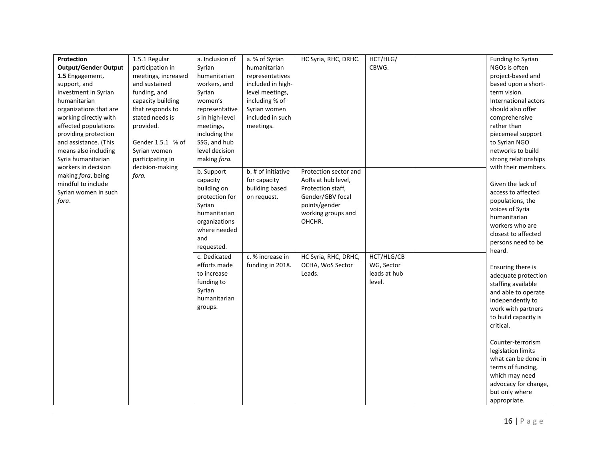| Protection                  | 1.5.1 Regular       | a. Inclusion of | a. % of Syrian     | HC Syria, RHC, DRHC.  | HCT/HLG/     | Funding to Syrian    |
|-----------------------------|---------------------|-----------------|--------------------|-----------------------|--------------|----------------------|
| <b>Output/Gender Output</b> | participation in    | Syrian          | humanitarian       |                       | CBWG.        | NGOs is often        |
| 1.5 Engagement,             | meetings, increased | humanitarian    | representatives    |                       |              | project-based and    |
| support, and                | and sustained       | workers, and    | included in high-  |                       |              | based upon a short-  |
| investment in Syrian        | funding, and        | Syrian          | level meetings,    |                       |              | term vision.         |
| humanitarian                | capacity building   | women's         | including % of     |                       |              | International actors |
| organizations that are      | that responds to    | representative  | Syrian women       |                       |              | should also offer    |
| working directly with       | stated needs is     | s in high-level | included in such   |                       |              | comprehensive        |
| affected populations        | provided.           | meetings,       | meetings.          |                       |              | rather than          |
| providing protection        |                     | including the   |                    |                       |              | piecemeal support    |
| and assistance. (This       | Gender 1.5.1 % of   | SSG, and hub    |                    |                       |              | to Syrian NGO        |
| means also including        | Syrian women        | level decision  |                    |                       |              | networks to build    |
| Syria humanitarian          | participating in    | making fora.    |                    |                       |              | strong relationships |
| workers in decision         | decision-making     |                 |                    |                       |              | with their members.  |
| making fora, being          | fora.               | b. Support      | b. # of initiative | Protection sector and |              |                      |
| mindful to include          |                     | capacity        | for capacity       | AoRs at hub level,    |              | Given the lack of    |
| Syrian women in such        |                     | building on     | building based     | Protection staff,     |              | access to affected   |
| fora.                       |                     | protection for  | on request.        | Gender/GBV focal      |              | populations, the     |
|                             |                     | Syrian          |                    | points/gender         |              | voices of Syria      |
|                             |                     | humanitarian    |                    | working groups and    |              | humanitarian         |
|                             |                     | organizations   |                    | OHCHR.                |              | workers who are      |
|                             |                     | where needed    |                    |                       |              | closest to affected  |
|                             |                     | and             |                    |                       |              | persons need to be   |
|                             |                     | requested.      |                    |                       |              | heard.               |
|                             |                     | c. Dedicated    | c. % increase in   | HC Syria, RHC, DRHC,  | HCT/HLG/CB   |                      |
|                             |                     | efforts made    | funding in 2018.   | OCHA, WoS Sector      | WG, Sector   | Ensuring there is    |
|                             |                     | to increase     |                    | Leads.                | leads at hub | adequate protection  |
|                             |                     | funding to      |                    |                       | level.       | staffing available   |
|                             |                     | Syrian          |                    |                       |              | and able to operate  |
|                             |                     | humanitarian    |                    |                       |              | independently to     |
|                             |                     | groups.         |                    |                       |              | work with partners   |
|                             |                     |                 |                    |                       |              | to build capacity is |
|                             |                     |                 |                    |                       |              | critical.            |
|                             |                     |                 |                    |                       |              |                      |
|                             |                     |                 |                    |                       |              | Counter-terrorism    |
|                             |                     |                 |                    |                       |              | legislation limits   |
|                             |                     |                 |                    |                       |              | what can be done in  |
|                             |                     |                 |                    |                       |              | terms of funding,    |
|                             |                     |                 |                    |                       |              | which may need       |
|                             |                     |                 |                    |                       |              | advocacy for change, |
|                             |                     |                 |                    |                       |              | but only where       |
|                             |                     |                 |                    |                       |              | appropriate.         |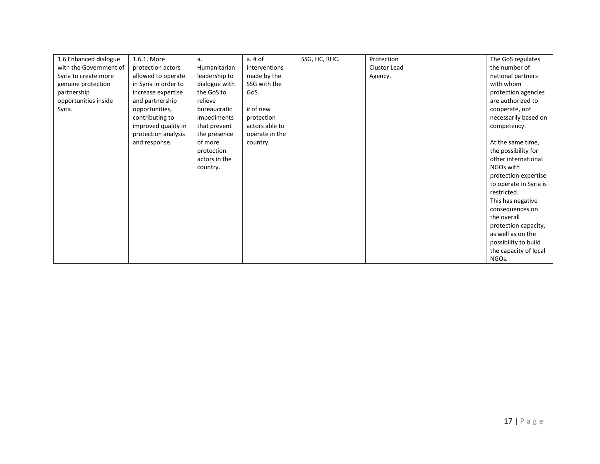| 1.6 Enhanced dialogue  | 1.6.1. More          | a.            | $a.$ # $of$    | SSG, HC, RHC. | Protection   | The GoS regulates      |
|------------------------|----------------------|---------------|----------------|---------------|--------------|------------------------|
| with the Government of | protection actors    | Humanitarian  | interventions  |               | Cluster Lead | the number of          |
| Syria to create more   | allowed to operate   | leadership to | made by the    |               | Agency.      | national partners      |
| genuine protection     | in Syria in order to | dialogue with | SSG with the   |               |              | with whom              |
| partnership            | increase expertise   | the GoS to    | GoS.           |               |              | protection agencies    |
| opportunities inside   | and partnership      | relieve       |                |               |              | are authorized to      |
| Syria.                 | opportunities,       | bureaucratic  | # of new       |               |              | cooperate, not         |
|                        | contributing to      | impediments   | protection     |               |              | necessarily based on   |
|                        |                      |               | actors able to |               |              |                        |
|                        | improved quality in  | that prevent  |                |               |              | competency.            |
|                        | protection analysis  | the presence  | operate in the |               |              |                        |
|                        | and response.        | of more       | country.       |               |              | At the same time,      |
|                        |                      | protection    |                |               |              | the possibility for    |
|                        |                      | actors in the |                |               |              | other international    |
|                        |                      | country.      |                |               |              | NGOs with              |
|                        |                      |               |                |               |              | protection expertise   |
|                        |                      |               |                |               |              | to operate in Syria is |
|                        |                      |               |                |               |              | restricted.            |
|                        |                      |               |                |               |              | This has negative      |
|                        |                      |               |                |               |              | consequences on        |
|                        |                      |               |                |               |              | the overall            |
|                        |                      |               |                |               |              | protection capacity,   |
|                        |                      |               |                |               |              | as well as on the      |
|                        |                      |               |                |               |              | possibility to build   |
|                        |                      |               |                |               |              | the capacity of local  |
|                        |                      |               |                |               |              | NGOs.                  |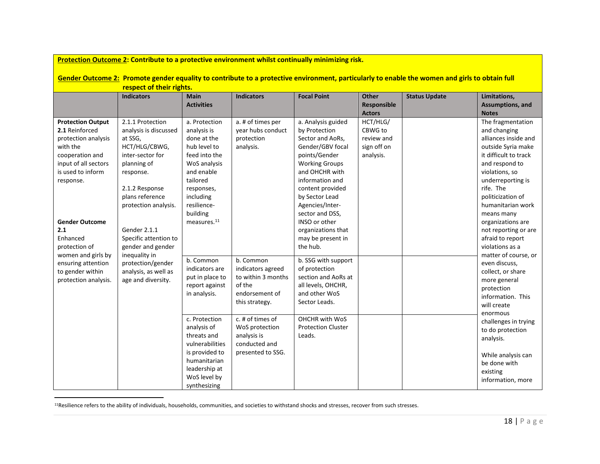| Protection Outcome 2: Contribute to a protective environment whilst continually minimizing risk.                                                                           |                                                                                                                                                                                    |                                                                                                                                                                              |                                                                                                    |                                                                                                                                                                                                                     |                                                               |                      |                                                                                                                                                                                                                                            |  |  |  |
|----------------------------------------------------------------------------------------------------------------------------------------------------------------------------|------------------------------------------------------------------------------------------------------------------------------------------------------------------------------------|------------------------------------------------------------------------------------------------------------------------------------------------------------------------------|----------------------------------------------------------------------------------------------------|---------------------------------------------------------------------------------------------------------------------------------------------------------------------------------------------------------------------|---------------------------------------------------------------|----------------------|--------------------------------------------------------------------------------------------------------------------------------------------------------------------------------------------------------------------------------------------|--|--|--|
| Gender Outcome 2: Promote gender equality to contribute to a protective environment, particularly to enable the women and girls to obtain full<br>respect of their rights. |                                                                                                                                                                                    |                                                                                                                                                                              |                                                                                                    |                                                                                                                                                                                                                     |                                                               |                      |                                                                                                                                                                                                                                            |  |  |  |
|                                                                                                                                                                            | <b>Indicators</b>                                                                                                                                                                  | <b>Main</b><br><b>Activities</b>                                                                                                                                             | <b>Indicators</b>                                                                                  | <b>Focal Point</b>                                                                                                                                                                                                  | Other<br>Responsible<br><b>Actors</b>                         | <b>Status Update</b> | Limitations,<br>Assumptions, and<br><b>Notes</b>                                                                                                                                                                                           |  |  |  |
| <b>Protection Output</b><br>2.1 Reinforced<br>protection analysis<br>with the<br>cooperation and<br>input of all sectors<br>is used to inform<br>response.                 | 2.1.1 Protection<br>analysis is discussed<br>at SSG.<br>HCT/HLG/CBWG,<br>inter-sector for<br>planning of<br>response.<br>2.1.2 Response<br>plans reference<br>protection analysis. | a. Protection<br>analysis is<br>done at the<br>hub level to<br>feed into the<br>WoS analysis<br>and enable<br>tailored<br>responses,<br>including<br>resilience-<br>building | a. # of times per<br>year hubs conduct<br>protection<br>analysis.                                  | a. Analysis guided<br>by Protection<br>Sector and AoRs,<br>Gender/GBV focal<br>points/Gender<br><b>Working Groups</b><br>and OHCHR with<br>information and<br>content provided<br>by Sector Lead<br>Agencies/Inter- | HCT/HLG/<br>CBWG to<br>review and<br>sign off on<br>analysis. |                      | The fragmentation<br>and changing<br>alliances inside and<br>outside Syria make<br>it difficult to track<br>and respond to<br>violations, so<br>underreporting is<br>rife. The<br>politicization of<br>humanitarian work                   |  |  |  |
| <b>Gender Outcome</b><br>2.1<br>Enhanced<br>protection of<br>women and girls by<br>ensuring attention<br>to gender within<br>protection analysis.                          | Gender 2.1.1<br>Specific attention to<br>gender and gender<br>inequality in<br>protection/gender<br>analysis, as well as<br>age and diversity.                                     | measures. <sup>11</sup><br>b. Common<br>indicators are<br>put in place to<br>report against<br>in analysis.                                                                  | b. Common<br>indicators agreed<br>to within 3 months<br>of the<br>endorsement of<br>this strategy. | sector and DSS,<br>INSO or other<br>organizations that<br>may be present in<br>the hub.<br>b. SSG with support<br>of protection<br>section and AoRs at<br>all levels, OHCHR,<br>and other WoS<br>Sector Leads.      |                                                               |                      | means many<br>organizations are<br>not reporting or are<br>afraid to report<br>violations as a<br>matter of course, or<br>even discuss,<br>collect, or share<br>more general<br>protection<br>information. This<br>will create<br>enormous |  |  |  |
|                                                                                                                                                                            |                                                                                                                                                                                    | c. Protection<br>analysis of<br>threats and<br>vulnerabilities<br>is provided to<br>humanitarian<br>leadership at<br>WoS level by<br>synthesizing                            | c. # of times of<br>WoS protection<br>analysis is<br>conducted and<br>presented to SSG.            | OHCHR with WoS<br><b>Protection Cluster</b><br>Leads.                                                                                                                                                               |                                                               |                      | challenges in trying<br>to do protection<br>analysis.<br>While analysis can<br>be done with<br>existing<br>information, more                                                                                                               |  |  |  |

<sup>11</sup>Resilience refers to the ability of individuals, households, communities, and societies to withstand shocks and stresses, recover from such stresses.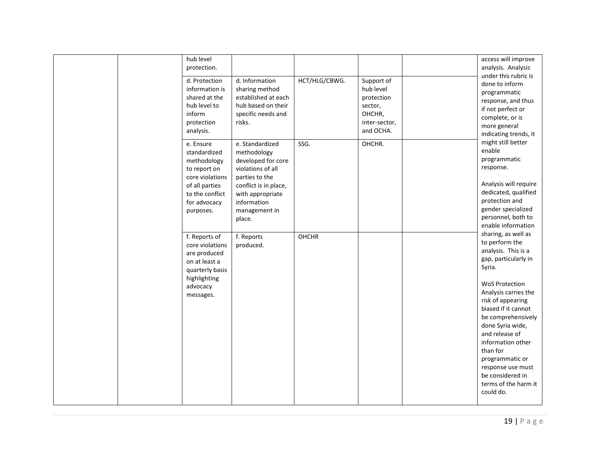|  | hub level                                                                                                                                     |                                                                                                                                                                                    |               |                                                                                          | access will improve                                                                                                                                                                                                                                                                                                                                                |
|--|-----------------------------------------------------------------------------------------------------------------------------------------------|------------------------------------------------------------------------------------------------------------------------------------------------------------------------------------|---------------|------------------------------------------------------------------------------------------|--------------------------------------------------------------------------------------------------------------------------------------------------------------------------------------------------------------------------------------------------------------------------------------------------------------------------------------------------------------------|
|  | protection.<br>d. Protection<br>information is<br>shared at the<br>hub level to<br>inform<br>protection<br>analysis.                          | d. Information<br>sharing method<br>established at each<br>hub based on their<br>specific needs and<br>risks.                                                                      | HCT/HLG/CBWG. | Support of<br>hub level<br>protection<br>sector,<br>OHCHR,<br>inter-sector,<br>and OCHA. | analysis. Analysis<br>under this rubric is<br>done to inform<br>programmatic<br>response, and thus<br>if not perfect or<br>complete, or is<br>more general<br>indicating trends, it                                                                                                                                                                                |
|  | e. Ensure<br>standardized<br>methodology<br>to report on<br>core violations<br>of all parties<br>to the conflict<br>for advocacy<br>purposes. | e. Standardized<br>methodology<br>developed for core<br>violations of all<br>parties to the<br>conflict is in place,<br>with appropriate<br>information<br>management in<br>place. | SSG.          | OHCHR.                                                                                   | might still better<br>enable<br>programmatic<br>response.<br>Analysis will require<br>dedicated, qualified<br>protection and<br>gender specialized<br>personnel, both to<br>enable information<br>sharing, as well as                                                                                                                                              |
|  | f. Reports of<br>core violations<br>are produced<br>on at least a<br>quarterly basis<br>highlighting<br>advocacy<br>messages.                 | f. Reports<br>produced.                                                                                                                                                            | OHCHR         |                                                                                          | to perform the<br>analysis. This is a<br>gap, particularly in<br>Syria.<br><b>WoS Protection</b><br>Analysis carries the<br>risk of appearing<br>biased if it cannot<br>be comprehensively<br>done Syria wide,<br>and release of<br>information other<br>than for<br>programmatic or<br>response use must<br>be considered in<br>terms of the harm it<br>could do. |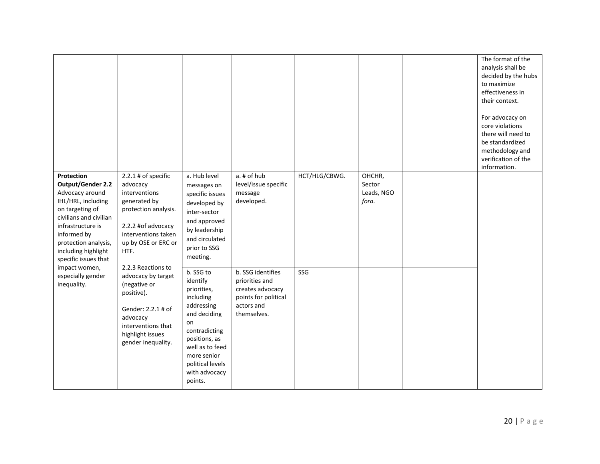|                                                                                                                                                                                                                                                                                              |                                                                                                                                                                                                                                                                                                                                                    |                                                                                                                                                                                                           |                                                                                                              |               |                                         |  | The format of the<br>analysis shall be<br>decided by the hubs<br>to maximize<br>effectiveness in<br>their context.<br>For advocacy on<br>core violations<br>there will need to<br>be standardized<br>methodology and<br>verification of the<br>information. |
|----------------------------------------------------------------------------------------------------------------------------------------------------------------------------------------------------------------------------------------------------------------------------------------------|----------------------------------------------------------------------------------------------------------------------------------------------------------------------------------------------------------------------------------------------------------------------------------------------------------------------------------------------------|-----------------------------------------------------------------------------------------------------------------------------------------------------------------------------------------------------------|--------------------------------------------------------------------------------------------------------------|---------------|-----------------------------------------|--|-------------------------------------------------------------------------------------------------------------------------------------------------------------------------------------------------------------------------------------------------------------|
| Protection<br><b>Output/Gender 2.2</b><br>Advocacy around<br>IHL/HRL, including<br>on targeting of<br>civilians and civilian<br>infrastructure is<br>informed by<br>protection analysis,<br>including highlight<br>specific issues that<br>impact women,<br>especially gender<br>inequality. | $2.2.1$ # of specific<br>advocacy<br>interventions<br>generated by<br>protection analysis.<br>2.2.2 #of advocacy<br>interventions taken<br>up by OSE or ERC or<br>HTF.<br>2.2.3 Reactions to<br>advocacy by target<br>(negative or<br>positive).<br>Gender: 2.2.1 # of<br>advocacy<br>interventions that<br>highlight issues<br>gender inequality. | a. Hub level<br>messages on<br>specific issues<br>developed by<br>inter-sector<br>and approved<br>by leadership<br>and circulated<br>prior to SSG<br>meeting.                                             | a. # of hub<br>level/issue specific<br>message<br>developed.                                                 | HCT/HLG/CBWG. | OHCHR,<br>Sector<br>Leads, NGO<br>fora. |  |                                                                                                                                                                                                                                                             |
|                                                                                                                                                                                                                                                                                              |                                                                                                                                                                                                                                                                                                                                                    | b. SSG to<br>identify<br>priorities,<br>including<br>addressing<br>and deciding<br>on<br>contradicting<br>positions, as<br>well as to feed<br>more senior<br>political levels<br>with advocacy<br>points. | b. SSG identifies<br>priorities and<br>creates advocacy<br>points for political<br>actors and<br>themselves. | SSG           |                                         |  |                                                                                                                                                                                                                                                             |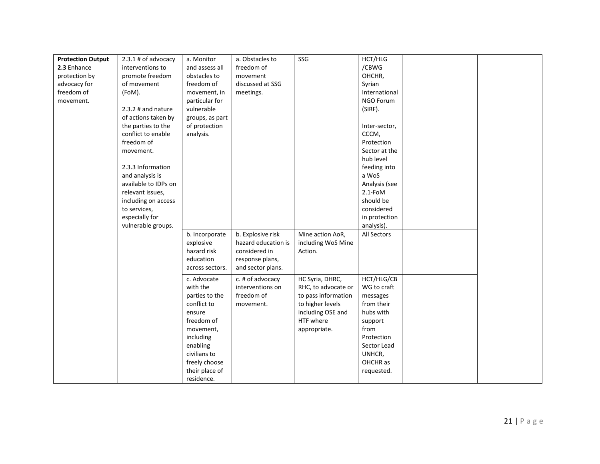| <b>Protection Output</b> | 2.3.1 # of advocacy  | a. Monitor      | a. Obstacles to     | SSG                 | HCT/HLG       |  |
|--------------------------|----------------------|-----------------|---------------------|---------------------|---------------|--|
| 2.3 Enhance              | interventions to     | and assess all  | freedom of          |                     | /CBWG         |  |
|                          |                      |                 |                     |                     |               |  |
| protection by            | promote freedom      | obstacles to    | movement            |                     | OHCHR,        |  |
| advocacy for             | of movement          | freedom of      | discussed at SSG    |                     | Syrian        |  |
| freedom of               | (FoM).               | movement, in    | meetings.           |                     | International |  |
| movement.                |                      | particular for  |                     |                     | NGO Forum     |  |
|                          | $2.3.2$ # and nature | vulnerable      |                     |                     | (SIRF).       |  |
|                          | of actions taken by  | groups, as part |                     |                     |               |  |
|                          | the parties to the   | of protection   |                     |                     | Inter-sector, |  |
|                          | conflict to enable   | analysis.       |                     |                     | CCCM,         |  |
|                          | freedom of           |                 |                     |                     | Protection    |  |
|                          | movement.            |                 |                     |                     | Sector at the |  |
|                          |                      |                 |                     |                     | hub level     |  |
|                          | 2.3.3 Information    |                 |                     |                     | feeding into  |  |
|                          | and analysis is      |                 |                     |                     | a WoS         |  |
|                          | available to IDPs on |                 |                     |                     | Analysis (see |  |
|                          | relevant issues,     |                 |                     |                     | $2.1 - FOM$   |  |
|                          | including on access  |                 |                     |                     | should be     |  |
|                          | to services,         |                 |                     |                     | considered    |  |
|                          | especially for       |                 |                     |                     | in protection |  |
|                          | vulnerable groups.   |                 |                     |                     | analysis).    |  |
|                          |                      | b. Incorporate  | b. Explosive risk   | Mine action AoR,    | All Sectors   |  |
|                          |                      | explosive       | hazard education is | including WoS Mine  |               |  |
|                          |                      | hazard risk     | considered in       | Action.             |               |  |
|                          |                      |                 |                     |                     |               |  |
|                          |                      | education       | response plans,     |                     |               |  |
|                          |                      | across sectors. | and sector plans.   |                     |               |  |
|                          |                      | c. Advocate     | c. # of advocacy    | HC Syria, DHRC,     | HCT/HLG/CB    |  |
|                          |                      | with the        | interventions on    | RHC, to advocate or | WG to craft   |  |
|                          |                      | parties to the  | freedom of          | to pass information | messages      |  |
|                          |                      | conflict to     | movement.           | to higher levels    | from their    |  |
|                          |                      | ensure          |                     | including OSE and   | hubs with     |  |
|                          |                      | freedom of      |                     | HTF where           | support       |  |
|                          |                      | movement,       |                     | appropriate.        | from          |  |
|                          |                      | including       |                     |                     | Protection    |  |
|                          |                      | enabling        |                     |                     | Sector Lead   |  |
|                          |                      | civilians to    |                     |                     | UNHCR,        |  |
|                          |                      | freely choose   |                     |                     | OHCHR as      |  |
|                          |                      | their place of  |                     |                     | requested.    |  |
|                          |                      |                 |                     |                     |               |  |
|                          |                      | residence.      |                     |                     |               |  |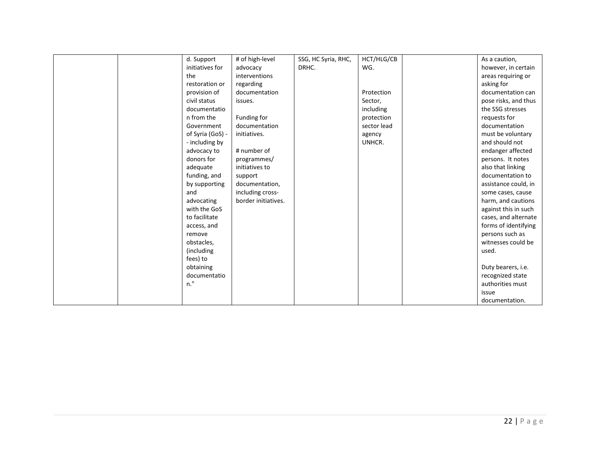|  | d. Support       | # of high-level     | SSG, HC Syria, RHC, | HCT/HLG/CB  | As a caution,        |
|--|------------------|---------------------|---------------------|-------------|----------------------|
|  | initiatives for  | advocacy            | DRHC.               | WG.         | however, in certain  |
|  | the              | interventions       |                     |             | areas requiring or   |
|  | restoration or   | regarding           |                     |             | asking for           |
|  | provision of     | documentation       |                     | Protection  | documentation can    |
|  | civil status     | issues.             |                     | Sector,     | pose risks, and thus |
|  | documentatio     |                     |                     | including   | the SSG stresses     |
|  | n from the       | Funding for         |                     | protection  | requests for         |
|  | Government       | documentation       |                     | sector lead | documentation        |
|  | of Syria (GoS) - | initiatives.        |                     | agency      | must be voluntary    |
|  | - including by   |                     |                     | UNHCR.      | and should not       |
|  | advocacy to      | # number of         |                     |             | endanger affected    |
|  | donors for       | programmes/         |                     |             | persons. It notes    |
|  | adequate         | initiatives to      |                     |             | also that linking    |
|  | funding, and     | support             |                     |             | documentation to     |
|  | by supporting    | documentation,      |                     |             | assistance could, in |
|  | and              | including cross-    |                     |             | some cases, cause    |
|  | advocating       | border initiatives. |                     |             | harm, and cautions   |
|  | with the GoS     |                     |                     |             | against this in such |
|  | to facilitate    |                     |                     |             | cases, and alternate |
|  | access, and      |                     |                     |             | forms of identifying |
|  | remove           |                     |                     |             | persons such as      |
|  | obstacles,       |                     |                     |             | witnesses could be   |
|  | (including       |                     |                     |             | used.                |
|  | fees) to         |                     |                     |             |                      |
|  | obtaining        |                     |                     |             | Duty bearers, i.e.   |
|  | documentatio     |                     |                     |             | recognized state     |
|  | n."              |                     |                     |             | authorities must     |
|  |                  |                     |                     |             | issue                |
|  |                  |                     |                     |             | documentation.       |